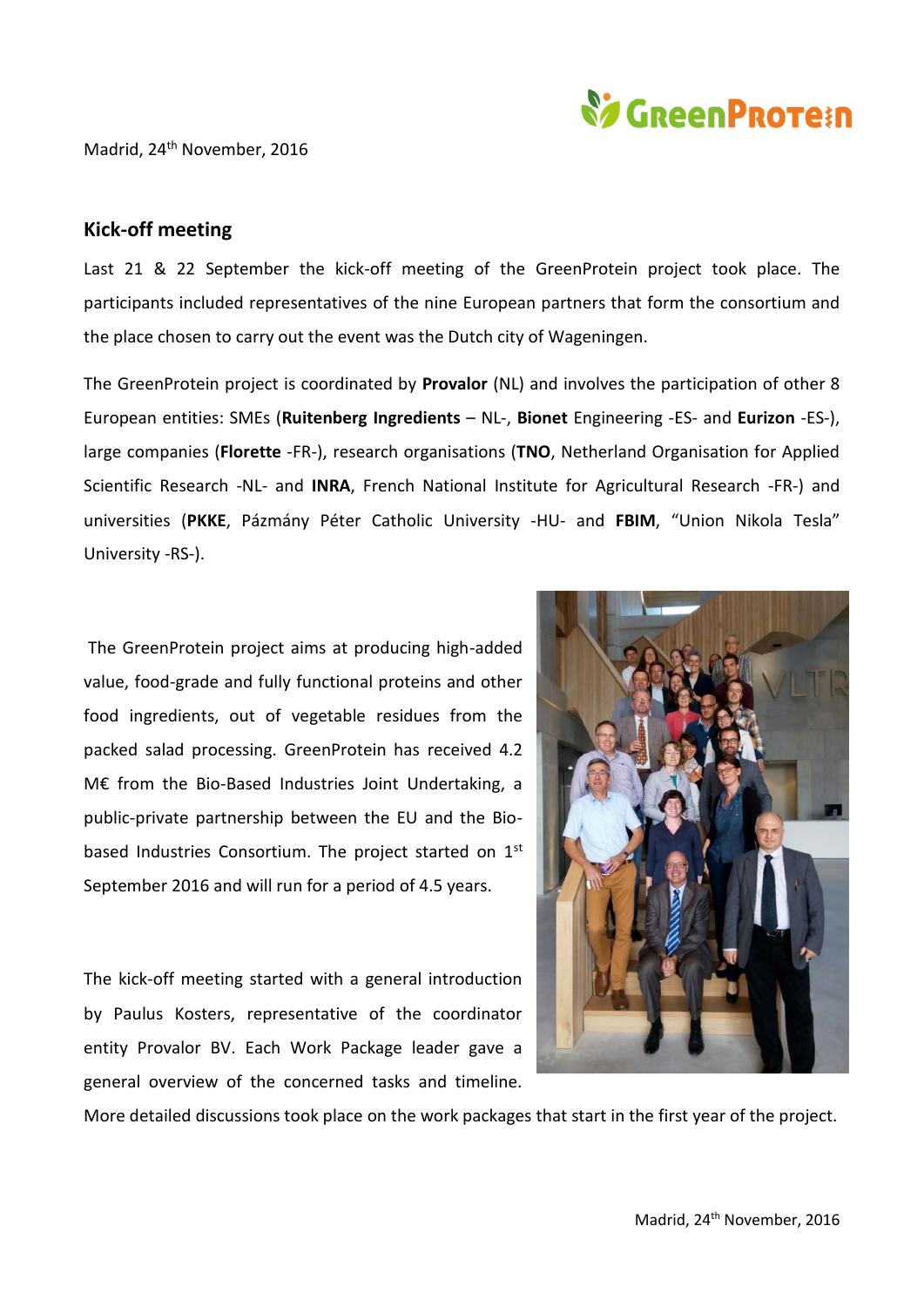

## Madrid, 24<sup>th</sup> November, 2016

## **Kick-off meeting**

Last 21 & 22 September the kick-off meeting of the GreenProtein project took place. The participants included representatives of the nine European partners that form the consortium and the place chosen to carry out the event was the Dutch city of Wageningen.

The GreenProtein project is coordinated by **Provalor** (NL) and involves the participation of other 8 European entities: SMEs (**Ruitenberg Ingredients** – NL-, **Bionet** Engineering -ES- and **Eurizon** -ES-), large companies (**Florette** -FR-), research organisations (**TNO**, Netherland Organisation for Applied Scientific Research -NL- and **INRA**, French National Institute for Agricultural Research -FR-) and universities (**PKKE**, Pázmány Péter Catholic University -HU- and **FBIM**, "Union Nikola Tesla" University -RS-).

The GreenProtein project aims at producing high-added value, food-grade and fully functional proteins and other food ingredients, out of vegetable residues from the packed salad processing. GreenProtein has received 4.2 M€ from the Bio-Based Industries Joint Undertaking, a public-private partnership between the EU and the Biobased Industries Consortium. The project started on 1st September 2016 and will run for a period of 4.5 years.

The kick-off meeting started with a general introduction by Paulus Kosters, representative of the coordinator entity Provalor BV. Each Work Package leader gave a general overview of the concerned tasks and timeline.



More detailed discussions took place on the work packages that start in the first year of the project.